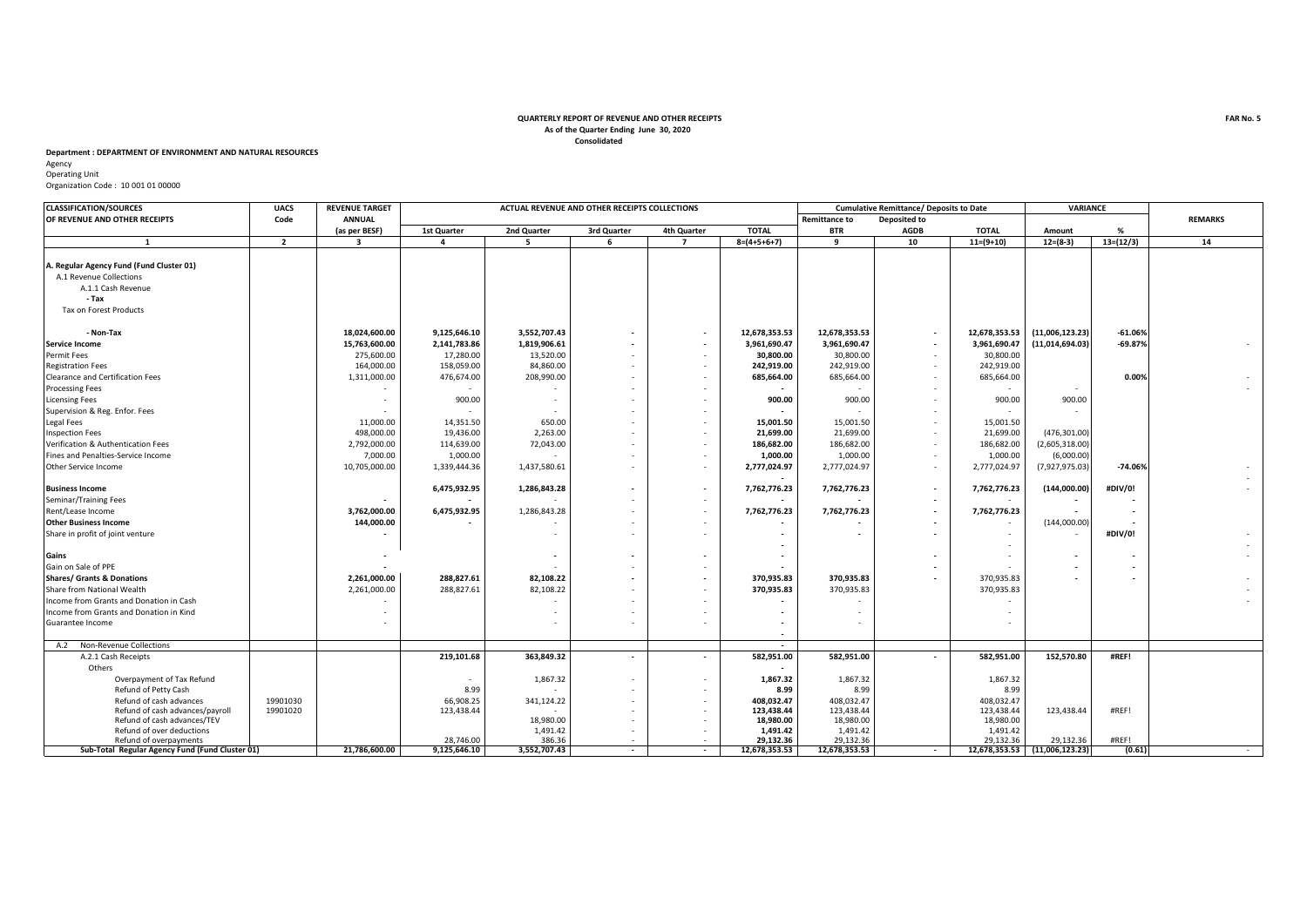## **Consolidated QUARTERLY REPORT OF REVENUE AND OTHER RECEIPTS As of the Quarter Ending June 30, 2020**

## **Department : DEPARTMENT OF ENVIRONMENT AND NATURAL RESOURCES**

Agency Operating Unit Organization Code : 10 001 01 00000

| <b>CLASSIFICATION/SOURCES</b>                            | <b>UACS</b>    | <b>REVENUE TARGET</b>   | ACTUAL REVENUE AND OTHER RECEIPTS COLLECTIONS |                    |                                                      |                          |                          | <b>Cumulative Remittance/ Deposits to Date</b> |                          |                       |                               | <b>VARIANCE</b> |                |
|----------------------------------------------------------|----------------|-------------------------|-----------------------------------------------|--------------------|------------------------------------------------------|--------------------------|--------------------------|------------------------------------------------|--------------------------|-----------------------|-------------------------------|-----------------|----------------|
| OF REVENUE AND OTHER RECEIPTS                            | Code           | <b>ANNUAL</b>           |                                               |                    |                                                      |                          |                          | <b>Remittance to</b>                           | <b>Deposited to</b>      |                       |                               |                 | <b>REMARKS</b> |
|                                                          |                | (as per BESF)           | 1st Quarter                                   | 2nd Quarter        | 3rd Quarter                                          | 4th Quarter              | <b>TOTAL</b>             | <b>BTR</b>                                     | <b>AGDB</b>              | <b>TOTAL</b>          | Amount                        | %               |                |
| $\mathbf{1}$                                             | $\overline{2}$ | $\overline{\mathbf{3}}$ | $\overline{a}$                                | 5                  | 6                                                    | $\overline{7}$           | $8=(4+5+6+7)$            | 9                                              | 10                       | $11=(9+10)$           | $12= (8-3)$                   | $13=(12/3)$     | 14             |
|                                                          |                |                         |                                               |                    |                                                      |                          |                          |                                                |                          |                       |                               |                 |                |
| A. Regular Agency Fund (Fund Cluster 01)                 |                |                         |                                               |                    |                                                      |                          |                          |                                                |                          |                       |                               |                 |                |
| A.1 Revenue Collections                                  |                |                         |                                               |                    |                                                      |                          |                          |                                                |                          |                       |                               |                 |                |
| A.1.1 Cash Revenue                                       |                |                         |                                               |                    |                                                      |                          |                          |                                                |                          |                       |                               |                 |                |
| - Tax                                                    |                |                         |                                               |                    |                                                      |                          |                          |                                                |                          |                       |                               |                 |                |
| Tax on Forest Products                                   |                |                         |                                               |                    |                                                      |                          |                          |                                                |                          |                       |                               |                 |                |
| - Non-Tax                                                |                | 18,024,600.00           | 9,125,646.10                                  | 3,552,707.43       | $\overline{\phantom{a}}$                             | $\overline{\phantom{a}}$ | 12,678,353.53            | 12,678,353.53                                  | $\overline{\phantom{a}}$ | 12,678,353.53         | (11,006,123.23)               | $-61.06%$       |                |
| <b>Service Income</b>                                    |                | 15,763,600.00           | 2,141,783.86                                  | 1,819,906.61       | $\overline{\phantom{a}}$                             | $\overline{\phantom{a}}$ | 3,961,690.47             | 3,961,690.47                                   | $\overline{\phantom{a}}$ | 3,961,690.47          | (11,014,694.03)               | $-69.87%$       |                |
| Permit Fees                                              |                | 275,600.00              | 17,280.00                                     | 13,520.00          | $\sim$                                               | $\overline{\phantom{a}}$ | 30,800.00                | 30,800.00                                      | $\overline{\phantom{a}}$ | 30,800.00             |                               |                 |                |
| <b>Registration Fees</b>                                 |                | 164,000.00              | 158,059.00                                    | 84,860.00          | $\overline{\phantom{a}}$                             |                          | 242,919.00               | 242,919.00                                     | $\overline{\phantom{a}}$ | 242,919.00            |                               |                 |                |
| Clearance and Certification Fees                         |                | 1,311,000.00            | 476,674.00                                    | 208,990.00         |                                                      |                          | 685,664.00               | 685,664.00                                     | $\overline{\phantom{a}}$ | 685,664.00            |                               | 0.00%           |                |
| <b>Processing Fees</b>                                   |                |                         |                                               |                    |                                                      |                          |                          |                                                |                          |                       |                               |                 |                |
|                                                          |                |                         |                                               |                    | $\overline{\phantom{a}}$                             |                          |                          |                                                |                          |                       |                               |                 |                |
| <b>Licensing Fees</b>                                    |                |                         | 900.00                                        |                    |                                                      |                          | 900.00                   | 900.00                                         |                          | 900.00                | 900.00                        |                 |                |
| Supervision & Reg. Enfor. Fees                           |                |                         |                                               |                    | $\overline{\phantom{a}}$                             |                          |                          |                                                |                          |                       |                               |                 |                |
| Legal Fees                                               |                | 11,000.00               | 14,351.50                                     | 650.00             | $\overline{\phantom{a}}$                             |                          | 15,001.50                | 15,001.50                                      |                          | 15,001.50             |                               |                 |                |
| <b>Inspection Fees</b>                                   |                | 498,000.00              | 19,436.00                                     | 2,263.00           | $\sim$                                               | $\overline{\phantom{a}}$ | 21,699.00                | 21,699.00                                      | $\overline{\phantom{a}}$ | 21,699.00             | (476, 301.00)                 |                 |                |
| Verification & Authentication Fees                       |                | 2,792,000.00            | 114,639.00                                    | 72,043.00          | $\sim$                                               | $\overline{\phantom{a}}$ | 186,682.00               | 186,682.00                                     | $\overline{a}$           | 186,682.00            | (2,605,318.00)                |                 |                |
| Fines and Penalties-Service Income                       |                | 7,000.00                | 1,000.00                                      |                    | $\overline{\phantom{a}}$                             | $\overline{\phantom{a}}$ | 1,000.00                 | 1,000.00                                       | $\overline{\phantom{a}}$ | 1,000.00              | (6,000.00)                    |                 |                |
| Other Service Income                                     |                | 10,705,000.00           | 1,339,444.36                                  | 1,437,580.61       | $\sim$                                               | ٠                        | 2,777,024.97             | 2,777,024.97                                   | $\overline{\phantom{a}}$ | 2,777,024.97          | (7,927,975.03)                | $-74.06%$       |                |
| <b>Business Income</b>                                   |                |                         | 6,475,932.95                                  | 1,286,843.28       | $\overline{\phantom{a}}$                             | $\overline{\phantom{a}}$ | 7,762,776.23             | 7,762,776.23                                   | $\overline{\phantom{a}}$ | 7,762,776.23          | (144,000.00)                  | #DIV/0!         |                |
| Seminar/Training Fees                                    |                |                         |                                               |                    |                                                      | ٠                        |                          |                                                |                          |                       |                               |                 |                |
| Rent/Lease Income                                        |                | 3,762,000.00            | 6,475,932.95                                  | 1,286,843.28       | $\overline{\phantom{a}}$                             | $\overline{a}$           | 7,762,776.23             | 7,762,776.23                                   |                          | 7,762,776.23          |                               |                 |                |
| <b>Other Business Income</b>                             |                | 144,000.00              |                                               |                    | $\overline{\phantom{a}}$                             |                          |                          |                                                |                          |                       | (144,000.00)                  |                 |                |
| Share in profit of joint venture                         |                |                         |                                               |                    | $\sim$                                               |                          |                          |                                                |                          |                       |                               | #DIV/0!         |                |
|                                                          |                |                         |                                               |                    |                                                      |                          |                          |                                                |                          |                       |                               |                 |                |
| Gains                                                    |                |                         |                                               |                    | $\overline{\phantom{a}}$                             | $\overline{\phantom{a}}$ |                          |                                                |                          |                       |                               |                 |                |
| Gain on Sale of PPE                                      |                |                         |                                               |                    |                                                      |                          |                          |                                                |                          |                       |                               |                 |                |
| <b>Shares/ Grants &amp; Donations</b>                    |                | 2,261,000.00            | 288,827.61                                    | 82,108.22          | $\overline{\phantom{a}}$                             | $\overline{\phantom{a}}$ | 370,935.83               | 370,935.83                                     |                          | 370,935.83            |                               |                 |                |
| Share from National Wealth                               |                | 2,261,000.00            | 288,827.61                                    | 82,108.22          | $\overline{\phantom{a}}$                             | $\overline{\phantom{a}}$ | 370,935.83               | 370,935.83                                     |                          | 370,935.83            |                               |                 |                |
| Income from Grants and Donation in Cash                  |                |                         |                                               |                    |                                                      |                          |                          |                                                |                          |                       |                               |                 |                |
| Income from Grants and Donation in Kind                  |                |                         |                                               |                    |                                                      |                          |                          |                                                |                          |                       |                               |                 |                |
| Guarantee Income                                         |                |                         |                                               |                    |                                                      |                          |                          |                                                |                          |                       |                               |                 |                |
|                                                          |                |                         |                                               |                    |                                                      |                          |                          |                                                |                          |                       |                               |                 |                |
| Non-Revenue Collections<br>A.2                           |                |                         |                                               |                    |                                                      |                          | $\overline{\phantom{a}}$ |                                                |                          |                       |                               |                 |                |
| A.2.1 Cash Receipts                                      |                |                         | 219,101.68                                    | 363,849.32         | $\overline{\phantom{a}}$                             | $\overline{\phantom{a}}$ | 582,951.00               | 582.951.00                                     | $\overline{\phantom{a}}$ | 582,951.00            | 152.570.80                    | #REF!           |                |
| Others                                                   |                |                         |                                               |                    |                                                      |                          |                          |                                                |                          |                       |                               |                 |                |
| Overpayment of Tax Refund                                |                |                         |                                               | 1,867.32           |                                                      |                          | 1,867.32                 | 1,867.32                                       |                          | 1,867.32              |                               |                 |                |
| Refund of Petty Cash                                     |                |                         | 8.99                                          |                    | $\overline{\phantom{a}}$                             |                          | 8.99                     | 8.99                                           |                          | 8.99                  |                               |                 |                |
| Refund of cash advances                                  | 19901030       |                         | 66,908.25                                     | 341,124.22         |                                                      |                          | 408,032.47               | 408,032.47                                     |                          | 408,032.47            |                               |                 |                |
| Refund of cash advances/payroll                          | 19901020       |                         | 123,438.44                                    |                    | $\overline{\phantom{a}}$                             | ٠                        | 123,438.44               | 123,438.44                                     |                          | 123,438.44            | 123,438.44                    | #REF!           |                |
| Refund of cash advances/TEV<br>Refund of over deductions |                |                         |                                               | 18,980.00          | $\overline{\phantom{a}}$                             | $\overline{\phantom{a}}$ | 18,980.00                | 18,980.00<br>1,491.42                          |                          | 18,980.00             |                               |                 |                |
| Refund of overpayments                                   |                |                         | 28,746.00                                     | 1,491.42<br>386.36 | $\overline{\phantom{a}}$<br>$\overline{\phantom{a}}$ |                          | 1,491.42<br>29,132.36    | 29,132.36                                      |                          | 1,491.42<br>29,132.36 | 29,132.36                     | #REF!           |                |
| Sub-Total Regular Agency Fund (Fund Cluster 01)          |                | 21,786,600.00           | 9,125,646.10                                  | 3,552,707.43       | $\sim$                                               | $\overline{\phantom{a}}$ | 12,678,353.53            | 12,678,353.53                                  | $\sim$                   |                       | 12,678,353.53 (11,006,123.23) | (0.61)          |                |
|                                                          |                |                         |                                               |                    |                                                      |                          |                          |                                                |                          |                       |                               |                 |                |

**FAR No. 5**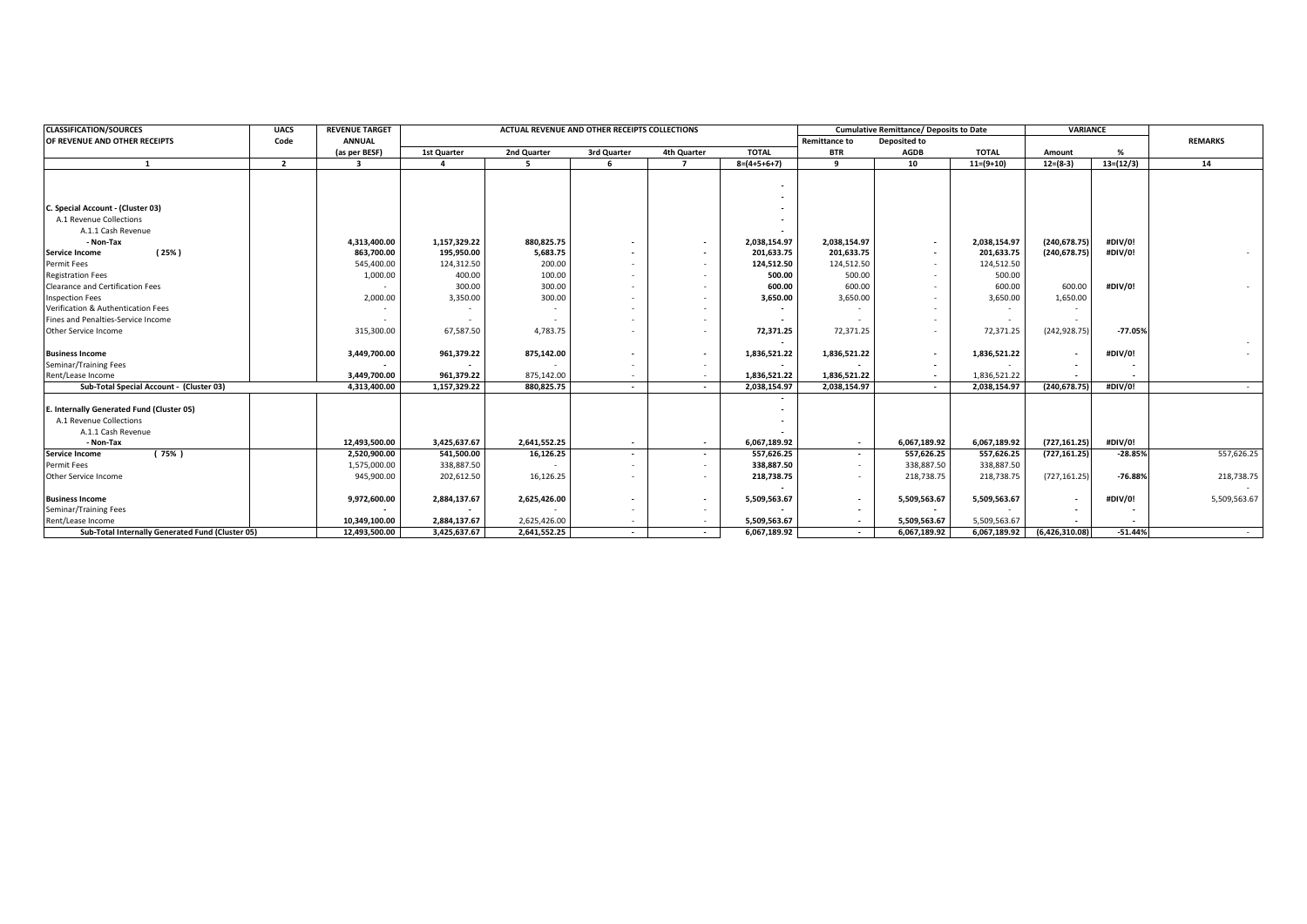| <b>CLASSIFICATION/SOURCES</b>                    | <b>UACS</b>    | <b>REVENUE TARGET</b>   |              | ACTUAL REVENUE AND OTHER RECEIPTS COLLECTIONS |                          |                          |                          | <b>Cumulative Remittance/ Deposits to Date</b> |                          |              | <b>VARIANCE</b>          |             |              |
|--------------------------------------------------|----------------|-------------------------|--------------|-----------------------------------------------|--------------------------|--------------------------|--------------------------|------------------------------------------------|--------------------------|--------------|--------------------------|-------------|--------------|
| OF REVENUE AND OTHER RECEIPTS<br>Code            |                | <b>ANNUAL</b>           |              | <b>Remittance to</b><br>Deposited to          |                          |                          |                          |                                                |                          |              | <b>REMARKS</b>           |             |              |
|                                                  |                | (as per BESF)           | 1st Quarter  | 2nd Quarter                                   | 3rd Quarter              | 4th Quarter              | <b>TOTAL</b>             | <b>BTR</b>                                     | <b>AGDB</b>              | <b>TOTAL</b> | Amount                   | %           |              |
| $\mathbf{1}$                                     | $\overline{2}$ | $\overline{\mathbf{a}}$ |              | 5                                             | -6                       | $\overline{z}$           | $8=(4+5+6+7)$            | 9                                              | 10                       | $11=(9+10)$  | $12=(8-3)$               | $13=(12/3)$ | 14           |
|                                                  |                |                         |              |                                               |                          |                          |                          |                                                |                          |              |                          |             |              |
|                                                  |                |                         |              |                                               |                          |                          |                          |                                                |                          |              |                          |             |              |
| C. Special Account - (Cluster 03)                |                |                         |              |                                               |                          |                          |                          |                                                |                          |              |                          |             |              |
| A.1 Revenue Collections                          |                |                         |              |                                               |                          |                          |                          |                                                |                          |              |                          |             |              |
| A.1.1 Cash Revenue                               |                |                         |              |                                               |                          |                          |                          |                                                |                          |              |                          |             |              |
| - Non-Tax                                        |                | 4,313,400.00            | 1,157,329.22 | 880,825.75                                    |                          | $\overline{\phantom{a}}$ | 2,038,154.97             | 2,038,154.97                                   | $\sim$                   | 2,038,154.97 | (240, 678.75)            | #DIV/0!     |              |
| (25%)<br>Service Income                          |                | 863,700.00              | 195,950.00   | 5,683.75                                      |                          | $\overline{\phantom{a}}$ | 201,633.75               | 201,633.75                                     | $\overline{\phantom{a}}$ | 201,633.75   | (240, 678.75)            | #DIV/0!     |              |
| Permit Fees                                      |                | 545,400.00              | 124,312.50   | 200.00                                        |                          | $\overline{\phantom{a}}$ | 124,512.50               | 124,512.50                                     | $\overline{\phantom{a}}$ | 124,512.50   |                          |             |              |
| <b>Registration Fees</b>                         |                | 1,000.00                | 400.00       | 100.00                                        |                          | $\overline{\phantom{a}}$ | 500.00                   | 500.00                                         | $\overline{\phantom{a}}$ | 500.00       |                          |             |              |
| <b>Clearance and Certification Fees</b>          |                |                         | 300.00       | 300.00                                        |                          | $\overline{\phantom{a}}$ | 600.00                   | 600.00                                         | $\overline{\phantom{a}}$ | 600.00       | 600.00                   | #DIV/0!     |              |
| <b>Inspection Fees</b>                           |                | 2,000.00                | 3,350.00     | 300.00                                        |                          | $\overline{\phantom{a}}$ | 3,650.00                 | 3,650.00                                       | $\overline{\phantom{a}}$ | 3,650.00     | 1,650.00                 |             |              |
| Verification & Authentication Fees               |                |                         |              |                                               |                          |                          |                          |                                                |                          |              |                          |             |              |
| Fines and Penalties-Service Income               |                |                         |              |                                               |                          |                          |                          |                                                |                          |              |                          |             |              |
| Other Service Income                             |                | 315,300.00              | 67,587.50    | 4,783.75                                      |                          |                          | 72,371.25                | 72,371.25                                      | $\overline{\phantom{a}}$ | 72,371.25    | (242, 928.75)            | $-77.05%$   |              |
|                                                  |                |                         |              |                                               |                          |                          |                          |                                                |                          |              |                          |             |              |
| <b>Business Income</b>                           |                | 3,449,700.00            | 961,379.22   | 875,142.00                                    |                          | $\overline{\phantom{a}}$ | 1,836,521.22             | 1,836,521.22                                   | $\overline{\phantom{a}}$ | 1,836,521.22 |                          | #DIV/0!     |              |
| Seminar/Training Fees                            |                |                         |              |                                               |                          | $\overline{\phantom{a}}$ | $\overline{\phantom{a}}$ |                                                | $\overline{\phantom{a}}$ |              |                          |             |              |
| Rent/Lease Income                                |                | 3,449,700.00            | 961,379.22   | 875,142.00                                    | $\sim$                   | $\sim$                   | 1,836,521.22             | 1,836,521.22                                   | $\sim$                   | 1,836,521.22 | $\overline{\phantom{a}}$ |             |              |
| Sub-Total Special Account - (Cluster 03)         |                | 4,313,400.00            | 1,157,329.22 | 880,825.75                                    | $\sim$                   | $\overline{\phantom{a}}$ | 2,038,154.97             | 2,038,154.97                                   | $\sim$                   | 2,038,154.97 | (240, 678.75)            | #DIV/0!     |              |
| E. Internally Generated Fund (Cluster 05)        |                |                         |              |                                               |                          |                          |                          |                                                |                          |              |                          |             |              |
| A.1 Revenue Collections                          |                |                         |              |                                               |                          |                          |                          |                                                |                          |              |                          |             |              |
| A.1.1 Cash Revenue                               |                |                         |              |                                               |                          |                          |                          |                                                |                          |              |                          |             |              |
| - Non-Tax                                        |                | 12.493.500.00           | 3.425.637.67 | 2.641.552.25                                  | $\sim$                   | $\sim$                   | 6,067,189.92             | $\sim$                                         | 6.067.189.92             | 6,067,189.92 | (727, 161.25)            | #DIV/0!     |              |
| (75% )<br>Service Income                         |                | 2,520,900.00            | 541,500.00   | 16,126.25                                     | $\overline{\phantom{a}}$ | $\overline{\phantom{a}}$ | 557,626.25               | $\overline{\phantom{a}}$                       | 557,626.25               | 557,626.25   | (727, 161.25)            | $-28.85%$   | 557,626.25   |
| Permit Fees                                      |                | 1,575,000.00            | 338,887.50   |                                               |                          | $\overline{\phantom{a}}$ | 338,887.50               | $\overline{\phantom{a}}$                       | 338,887.50               | 338,887.50   |                          |             |              |
| Other Service Income                             |                | 945,900.00              | 202,612.50   | 16,126.25                                     |                          |                          | 218,738.75               | $\overline{\phantom{a}}$                       | 218,738.75               | 218,738.75   | (727, 161.25)            | $-76.88%$   | 218,738.75   |
|                                                  |                |                         |              |                                               |                          |                          |                          |                                                |                          |              |                          |             |              |
| <b>Business Income</b>                           |                | 9,972,600.00            | 2,884,137.67 | 2,625,426.00                                  |                          | $\overline{\phantom{a}}$ | 5,509,563.67             | $\overline{\phantom{a}}$                       | 5,509,563.67             | 5,509,563.67 | $\sim$                   | #DIV/0!     | 5,509,563.67 |
| Seminar/Training Fees                            |                |                         |              |                                               |                          | $\overline{\phantom{a}}$ |                          | $\sim$                                         |                          |              |                          |             |              |
| Rent/Lease Income                                |                | 10,349,100.00           | 2,884,137.67 | 2,625,426.00                                  |                          | $\overline{\phantom{a}}$ | 5,509,563.67             | $\sim$                                         | 5,509,563.67             | 5,509,563.67 |                          |             |              |
| Sub-Total Internally Generated Fund (Cluster 05) |                | 12,493,500.00           | 3,425,637.67 | 2,641,552.25                                  | $\sim$                   | $\sim$                   | 6,067,189.92             | $\sim$                                         | 6,067,189.92             | 6,067,189.92 | (6,426,310.08)           | $-51.44%$   |              |